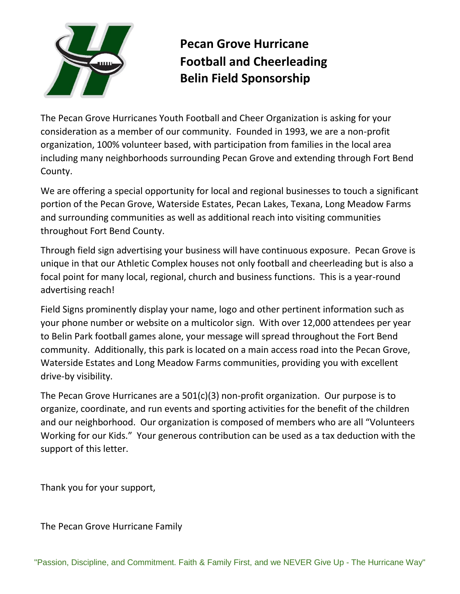

## **Pecan Grove Hurricane Football and Cheerleading Belin Field Sponsorship**

The Pecan Grove Hurricanes Youth Football and Cheer Organization is asking for your consideration as a member of our community. Founded in 1993, we are a non-profit organization, 100% volunteer based, with participation from families in the local area including many neighborhoods surrounding Pecan Grove and extending through Fort Bend County.

We are offering a special opportunity for local and regional businesses to touch a significant portion of the Pecan Grove, Waterside Estates, Pecan Lakes, Texana, Long Meadow Farms and surrounding communities as well as additional reach into visiting communities throughout Fort Bend County.

Through field sign advertising your business will have continuous exposure. Pecan Grove is unique in that our Athletic Complex houses not only football and cheerleading but is also a focal point for many local, regional, church and business functions. This is a year-round advertising reach!

Field Signs prominently display your name, logo and other pertinent information such as your phone number or website on a multicolor sign. With over 12,000 attendees per year to Belin Park football games alone, your message will spread throughout the Fort Bend community. Additionally, this park is located on a main access road into the Pecan Grove, Waterside Estates and Long Meadow Farms communities, providing you with excellent drive-by visibility.

The Pecan Grove Hurricanes are a 501(c)(3) non-profit organization. Our purpose is to organize, coordinate, and run events and sporting activities for the benefit of the children and our neighborhood. Our organization is composed of members who are all "Volunteers Working for our Kids." Your generous contribution can be used as a tax deduction with the support of this letter.

Thank you for your support,

The Pecan Grove Hurricane Family